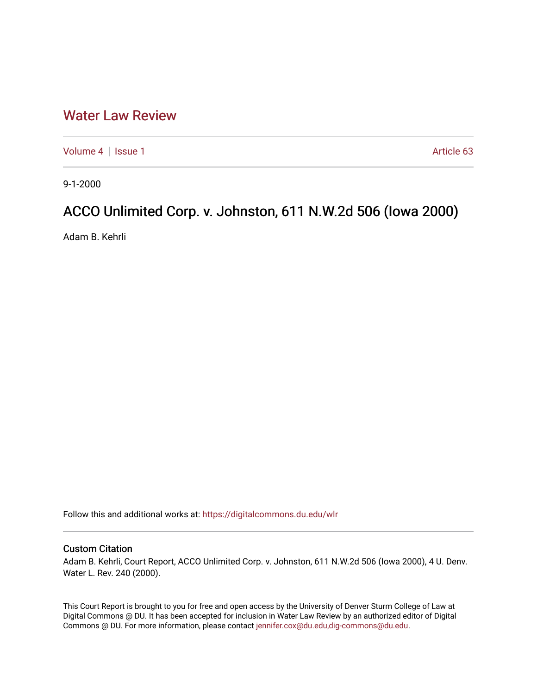## [Water Law Review](https://digitalcommons.du.edu/wlr)

[Volume 4](https://digitalcommons.du.edu/wlr/vol4) | [Issue 1](https://digitalcommons.du.edu/wlr/vol4/iss1) Article 63

9-1-2000

## ACCO Unlimited Corp. v. Johnston, 611 N.W.2d 506 (Iowa 2000)

Adam B. Kehrli

Follow this and additional works at: [https://digitalcommons.du.edu/wlr](https://digitalcommons.du.edu/wlr?utm_source=digitalcommons.du.edu%2Fwlr%2Fvol4%2Fiss1%2F63&utm_medium=PDF&utm_campaign=PDFCoverPages) 

## Custom Citation

Adam B. Kehrli, Court Report, ACCO Unlimited Corp. v. Johnston, 611 N.W.2d 506 (Iowa 2000), 4 U. Denv. Water L. Rev. 240 (2000).

This Court Report is brought to you for free and open access by the University of Denver Sturm College of Law at Digital Commons @ DU. It has been accepted for inclusion in Water Law Review by an authorized editor of Digital Commons @ DU. For more information, please contact [jennifer.cox@du.edu,dig-commons@du.edu.](mailto:jennifer.cox@du.edu,dig-commons@du.edu)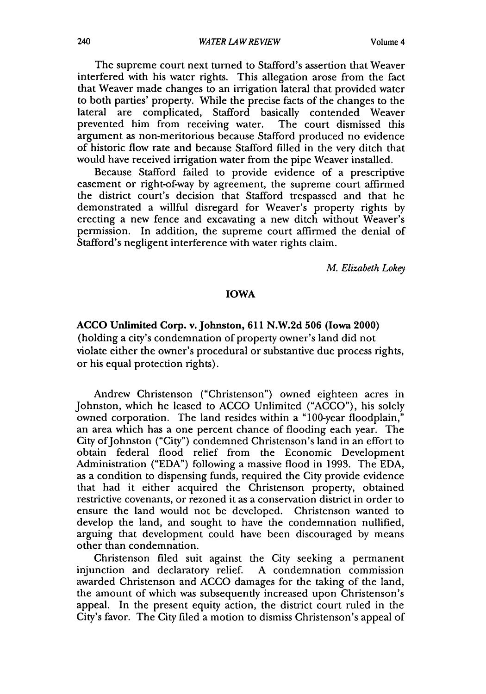The supreme court next turned to Stafford's assertion that Weaver interfered with his water rights. This allegation arose from the fact that Weaver made changes to an irrigation lateral that provided water to both parties' property. While the precise facts of the changes to the lateral are complicated, Stafford basically contended Weaver prevented him from receiving water. The court dismissed this argument as non-meritorious because Stafford produced no evidence of historic flow rate and because Stafford filled in the very ditch that would have received irrigation water from the pipe Weaver installed.

Because Stafford failed to provide evidence of a prescriptive easement or right-of-way by agreement, the supreme court affirmed the district court's decision that Stafford trespassed and that he demonstrated a willful disregard for Weaver's property rights by erecting a new fence and excavating a new ditch without Weaver's permission. In addition, the supreme court affirmed the denial of Stafford's negligent interference with water rights claim.

*M. Elizabeth Lokey*

## IOWA

**ACCO Unlimited Corp. v. Johnston, 611 N.W.2d 506 (Iowa 2000)** (holding a city's condemnation of property owner's land did not violate either the owner's procedural or substantive due process rights, or his equal protection rights).

Andrew Christenson ("Christenson") owned eighteen acres in Johnston, which he leased to ACCO Unlimited ("ACCO"), his solely owned corporation. The land resides within a "100-year floodplain," an area which has a one percent chance of flooding each year. The City of Johnston ("City") condemned Christenson's land in an effort to obtain federal flood relief from the Economic Development Administration ("EDA") following a massive flood in 1993. The EDA, as a condition to dispensing funds, required the City provide evidence that had it either acquired the Christenson property, obtained restrictive covenants, or rezoned it as a conservation district in order to ensure the land would not be developed. Christenson wanted to develop the land, and sought to have the condemnation nullified, arguing that development could have been discouraged by means other than condemnation.

Christenson filed suit against the City seeking a permanent injunction and declaratory relief. A condemnation commission awarded Christenson and ACCO damages for the taking of the land, the amount of which was subsequently increased upon Christenson's appeal. In the present equity action, the district court ruled in the City's favor. The City filed a motion to dismiss Christenson's appeal of